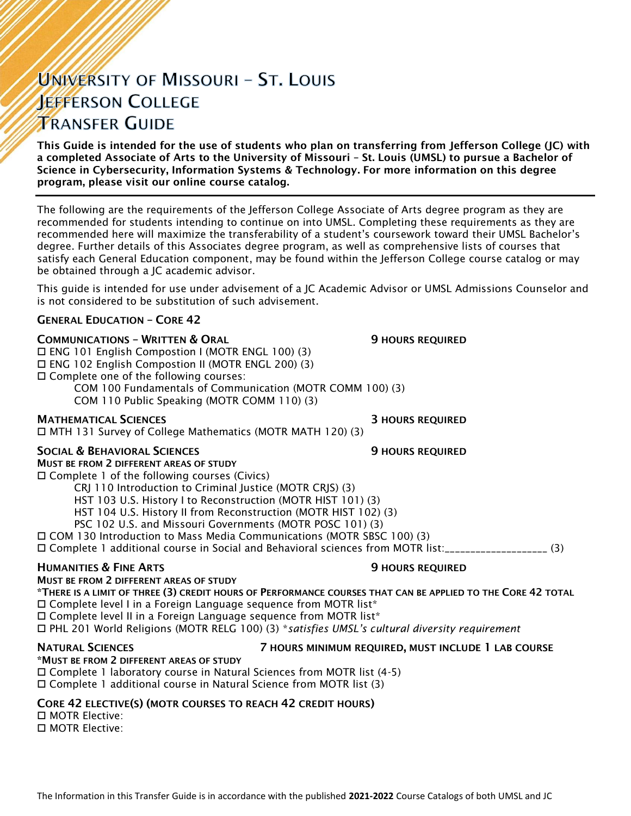# UNIVERSITY OF MISSOURI - ST. LOUIS **JEFFERSON COLLEGE TRANSFER GUIDE**

This Guide is intended for the use of students who plan on transferring from Jefferson College (JC) with a completed Associate of Arts to the University of Missouri – St. Louis (UMSL) to pursue a Bachelor of Science in Cybersecurity, Information Systems & Technology. For more information on this degree program, please visit our online course catalog.

The following are the requirements of the Jefferson College Associate of Arts degree program as they are recommended for students intending to continue on into UMSL. Completing these requirements as they are recommended here will maximize the transferability of a student's coursework toward their UMSL Bachelor's degree. Further details of this Associates degree program, as well as comprehensive lists of courses that satisfy each General Education component, may be found within the Jefferson College course catalog or may be obtained through a JC academic advisor.

This guide is intended for use under advisement of a JC Academic Advisor or UMSL Admissions Counselor and is not considered to be substitution of such advisement.

## GENERAL EDUCATION – CORE 42

## **COMMUNICATIONS - WRITTEN & ORAL 5 AU SERVICE SECULAR SECULAR SECULAR SERVICED**

 ENG 101 English Compostion I (MOTR ENGL 100) (3) ENG 102 English Compostion II (MOTR ENGL 200) (3) Complete one of the following courses: COM 100 Fundamentals of Communication (MOTR COMM 100) (3) COM 110 Public Speaking (MOTR COMM 110) (3)

**MATHEMATICAL SCIENCES 3 HOURS REQUIRED** 

MTH 131 Survey of College Mathematics (MOTR MATH 120) (3)

## SOCIAL & BEHAVIORAL SCIENCES **19 SOCIAL SERVICES** 9 HOURS REQUIRED

MUST BE FROM 2 DIFFERENT AREAS OF STUDY Complete 1 of the following courses (Civics)

CRJ 110 Introduction to Criminal Justice (MOTR CRJS) (3)

HST 103 U.S. History I to Reconstruction (MOTR HIST 101) (3)

HST 104 U.S. History II from Reconstruction (MOTR HIST 102) (3)

PSC 102 U.S. and Missouri Governments (MOTR POSC 101) (3)

COM 130 Introduction to Mass Media Communications (MOTR SBSC 100) (3)

Complete 1 additional course in Social and Behavioral sciences from MOTR list:\_\_\_\_\_\_\_\_\_\_\_\_\_\_\_\_\_\_\_\_ (3)

## **HUMANITIES & FINE ARTS 19 ACCESS 20 HOURS REQUIRED**

MUST BE FROM 2 DIFFERENT AREAS OF STUDY

\*THERE IS A LIMIT OF THREE (3) CREDIT HOURS OF PERFORMANCE COURSES THAT CAN BE APPLIED TO THE CORE 42 TOTAL  $\Box$  Complete level I in a Foreign Language sequence from MOTR list\*

 $\Box$  Complete level II in a Foreign Language sequence from MOTR list\*

PHL 201 World Religions (MOTR RELG 100) (3) \**satisfies UMSL's cultural diversity requirement*

### NATURAL SCIENCES 7 HOURS MINIMUM REQUIRED, MUST INCLUDE 1 LAB COURSE \*MUST BE FROM 2 DIFFERENT AREAS OF STUDY

 Complete 1 laboratory course in Natural Sciences from MOTR list (4-5) Complete 1 additional course in Natural Science from MOTR list (3)

## CORE 42 ELECTIVE(S) (MOTR COURSES TO REACH 42 CREDIT HOURS)

 MOTR Elective: MOTR Elective: